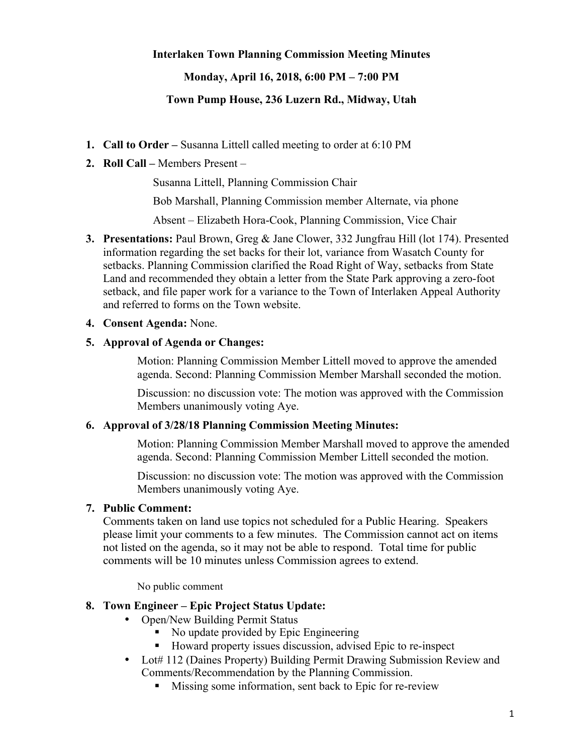### **Interlaken Town Planning Commission Meeting Minutes**

### **Monday, April 16, 2018, 6:00 PM – 7:00 PM**

## **Town Pump House, 236 Luzern Rd., Midway, Utah**

- **1. Call to Order –** Susanna Littell called meeting to order at 6:10 PM
- **2. Roll Call –** Members Present –

Susanna Littell, Planning Commission Chair

Bob Marshall, Planning Commission member Alternate, via phone

Absent – Elizabeth Hora-Cook, Planning Commission, Vice Chair

**3. Presentations:** Paul Brown, Greg & Jane Clower, 332 Jungfrau Hill (lot 174). Presented information regarding the set backs for their lot, variance from Wasatch County for setbacks. Planning Commission clarified the Road Right of Way, setbacks from State Land and recommended they obtain a letter from the State Park approving a zero-foot setback, and file paper work for a variance to the Town of Interlaken Appeal Authority and referred to forms on the Town website.

#### **4. Consent Agenda:** None.

#### **5. Approval of Agenda or Changes:**

Motion: Planning Commission Member Littell moved to approve the amended agenda. Second: Planning Commission Member Marshall seconded the motion.

Discussion: no discussion vote: The motion was approved with the Commission Members unanimously voting Aye.

#### **6. Approval of 3/28/18 Planning Commission Meeting Minutes:**

Motion: Planning Commission Member Marshall moved to approve the amended agenda. Second: Planning Commission Member Littell seconded the motion.

Discussion: no discussion vote: The motion was approved with the Commission Members unanimously voting Aye.

### **7. Public Comment:**

Comments taken on land use topics not scheduled for a Public Hearing. Speakers please limit your comments to a few minutes. The Commission cannot act on items not listed on the agenda, so it may not be able to respond. Total time for public comments will be 10 minutes unless Commission agrees to extend.

No public comment

#### **8. Town Engineer – Epic Project Status Update:**

- Open/New Building Permit Status
	- No update provided by Epic Engineering
	- Howard property issues discussion, advised Epic to re-inspect
- Lot# 112 (Daines Property) Building Permit Drawing Submission Review and Comments/Recommendation by the Planning Commission.
	- Missing some information, sent back to Epic for re-review